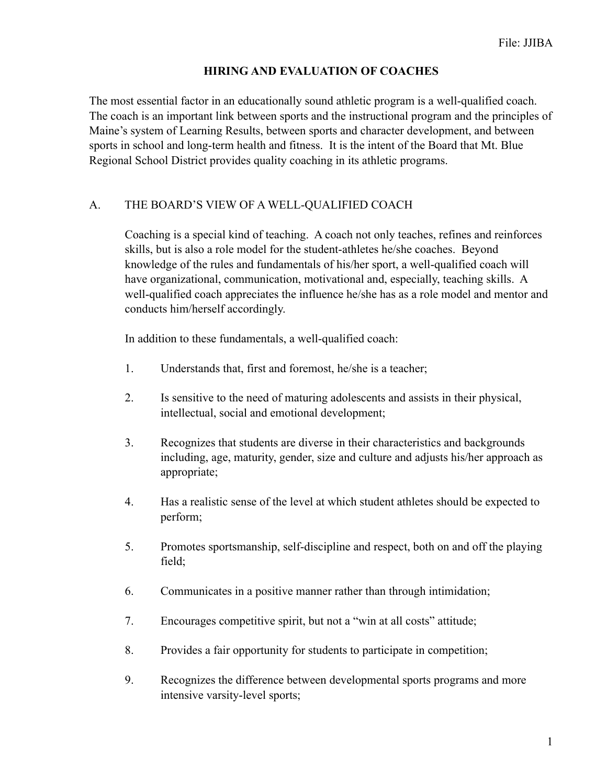### **HIRING AND EVALUATION OF COACHES**

The most essential factor in an educationally sound athletic program is a well-qualified coach. The coach is an important link between sports and the instructional program and the principles of Maine's system of Learning Results, between sports and character development, and between sports in school and long-term health and fitness. It is the intent of the Board that Mt. Blue Regional School District provides quality coaching in its athletic programs.

### A. THE BOARD'S VIEW OF A WELL-QUALIFIED COACH

 Coaching is a special kind of teaching. A coach not only teaches, refines and reinforces skills, but is also a role model for the student-athletes he/she coaches. Beyond knowledge of the rules and fundamentals of his/her sport, a well-qualified coach will have organizational, communication, motivational and, especially, teaching skills. A well-qualified coach appreciates the influence he/she has as a role model and mentor and conducts him/herself accordingly.

In addition to these fundamentals, a well-qualified coach:

- 1. Understands that, first and foremost, he/she is a teacher;
- 2. Is sensitive to the need of maturing adolescents and assists in their physical, intellectual, social and emotional development;
- 3. Recognizes that students are diverse in their characteristics and backgrounds including, age, maturity, gender, size and culture and adjusts his/her approach as appropriate;
- 4. Has a realistic sense of the level at which student athletes should be expected to perform;
- 5. Promotes sportsmanship, self-discipline and respect, both on and off the playing field;
- 6. Communicates in a positive manner rather than through intimidation;
- 7. Encourages competitive spirit, but not a "win at all costs" attitude;
- 8. Provides a fair opportunity for students to participate in competition;
- 9. Recognizes the difference between developmental sports programs and more intensive varsity-level sports;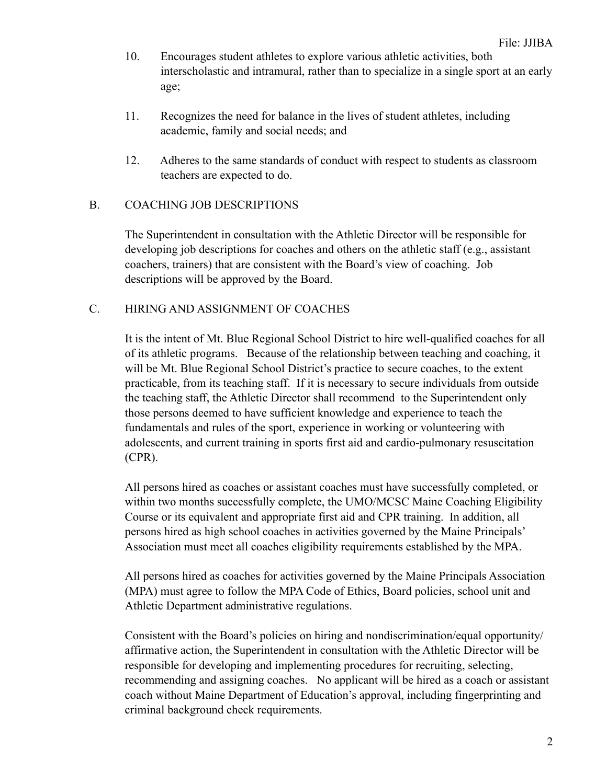- 10. Encourages student athletes to explore various athletic activities, both interscholastic and intramural, rather than to specialize in a single sport at an early age;
- 11. Recognizes the need for balance in the lives of student athletes, including academic, family and social needs; and
- 12. Adheres to the same standards of conduct with respect to students as classroom teachers are expected to do.

## B. COACHING JOB DESCRIPTIONS

The Superintendent in consultation with the Athletic Director will be responsible for developing job descriptions for coaches and others on the athletic staff (e.g., assistant coachers, trainers) that are consistent with the Board's view of coaching. Job descriptions will be approved by the Board.

## C. HIRING AND ASSIGNMENT OF COACHES

It is the intent of Mt. Blue Regional School District to hire well-qualified coaches for all of its athletic programs. Because of the relationship between teaching and coaching, it will be Mt. Blue Regional School District's practice to secure coaches, to the extent practicable, from its teaching staff. If it is necessary to secure individuals from outside the teaching staff, the Athletic Director shall recommend to the Superintendent only those persons deemed to have sufficient knowledge and experience to teach the fundamentals and rules of the sport, experience in working or volunteering with adolescents, and current training in sports first aid and cardio-pulmonary resuscitation (CPR).

All persons hired as coaches or assistant coaches must have successfully completed, or within two months successfully complete, the UMO/MCSC Maine Coaching Eligibility Course or its equivalent and appropriate first aid and CPR training. In addition, all persons hired as high school coaches in activities governed by the Maine Principals' Association must meet all coaches eligibility requirements established by the MPA.

All persons hired as coaches for activities governed by the Maine Principals Association (MPA) must agree to follow the MPA Code of Ethics, Board policies, school unit and Athletic Department administrative regulations.

Consistent with the Board's policies on hiring and nondiscrimination/equal opportunity/ affirmative action, the Superintendent in consultation with the Athletic Director will be responsible for developing and implementing procedures for recruiting, selecting, recommending and assigning coaches. No applicant will be hired as a coach or assistant coach without Maine Department of Education's approval, including fingerprinting and criminal background check requirements.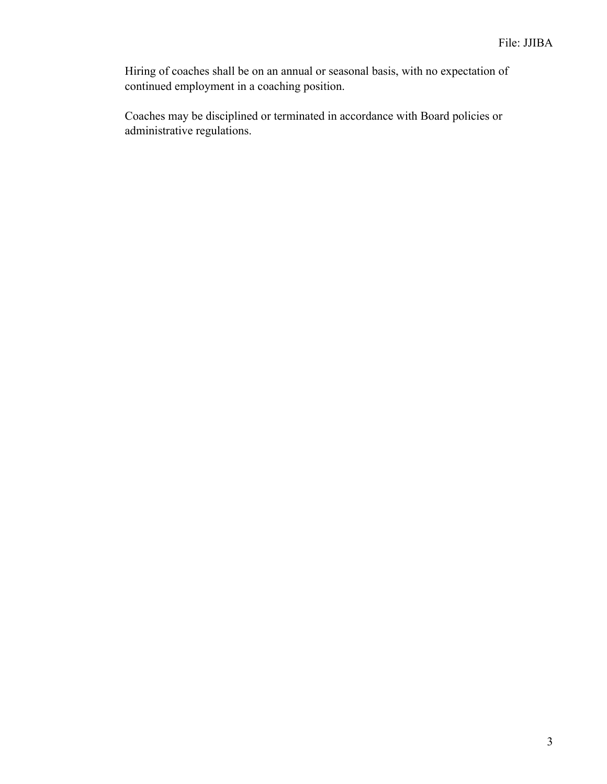Hiring of coaches shall be on an annual or seasonal basis, with no expectation of continued employment in a coaching position.

Coaches may be disciplined or terminated in accordance with Board policies or administrative regulations.